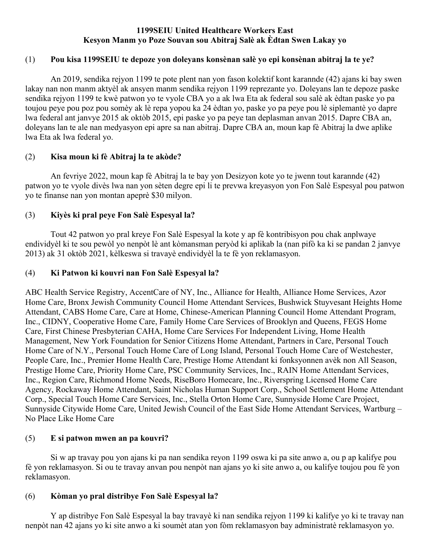### **1199SEIU United Healthcare Workers East Kesyon Manm yo Poze Souvan sou Abitraj Salè ak Èdtan Swen Lakay yo**

### (1) **Pou kisa 1199SEIU te depoze yon doleyans konsènan salè yo epi konsènan abitraj la te ye?**

An 2019, sendika rejyon 1199 te pote plent nan yon fason kolektif kont karannde (42) ajans ki bay swen lakay nan non manm aktyèl ak ansyen manm sendika rejyon 1199 reprezante yo. Doleyans lan te depoze paske sendika rejyon 1199 te kwè patwon yo te vyole CBA yo a ak lwa Eta ak federal sou salè ak èdtan paske yo pa toujou peye pou poz pou somèy ak lè repa yopou ka 24 èdtan yo, paske yo pa peye pou lè siplemantè yo dapre lwa federal ant janvye 2015 ak oktòb 2015, epi paske yo pa peye tan deplasman anvan 2015. Dapre CBA an, doleyans lan te ale nan medyasyon epi apre sa nan abitraj. Dapre CBA an, moun kap fè Abitraj la dwe aplike lwa Eta ak lwa federal yo.

## (2) **Kisa moun ki fè Abitraj la te akòde?**

 An fevriye 2022, moun kap fè Abitraj la te bay yon Desizyon kote yo te jwenn tout karannde (42) patwon yo te vyole divès lwa nan yon sèten degre epi li te prevwa kreyasyon yon Fon Salè Espesyal pou patwon yo te finanse nan yon montan apeprè \$30 milyon.

# (3) **Kiyès ki pral peye Fon Salè Espesyal la?**

 Tout 42 patwon yo pral kreye Fon Salè Espesyal la kote y ap fè kontribisyon pou chak anplwaye endividyèl ki te sou pewòl yo nenpòt lè ant kòmansman peryòd ki aplikab la (nan pifò ka ki se pandan 2 janvye 2013) ak 31 oktòb 2021, kèlkeswa si travayè endividyèl la te fè yon reklamasyon.

## (4) **Ki Patwon ki kouvri nan Fon Salè Espesyal la?**

ABC Health Service Registry, AccentCare of NY, Inc., Alliance for Health, Alliance Home Services, Azor Home Care, Bronx Jewish Community Council Home Attendant Services, Bushwick Stuyvesant Heights Home Attendant, CABS Home Care, Care at Home, Chinese-American Planning Council Home Attendant Program, Inc., CIDNY, Cooperative Home Care, Family Home Care Services of Brooklyn and Queens, FEGS Home Care, First Chinese Presbyterian CAHA, Home Care Services For Independent Living, Home Health Management, New York Foundation for Senior Citizens Home Attendant, Partners in Care, Personal Touch Home Care of N.Y., Personal Touch Home Care of Long Island, Personal Touch Home Care of Westchester, People Care, Inc., Premier Home Health Care, Prestige Home Attendant ki fonksyonnen avèk non All Season, Prestige Home Care, Priority Home Care, PSC Community Services, Inc., RAIN Home Attendant Services, Inc., Region Care, Richmond Home Needs, RiseBoro Homecare, Inc., Riverspring Licensed Home Care Agency, Rockaway Home Attendant, Saint Nicholas Human Support Corp., School Settlement Home Attendant Corp., Special Touch Home Care Services, Inc., Stella Orton Home Care, Sunnyside Home Care Project, Sunnyside Citywide Home Care, United Jewish Council of the East Side Home Attendant Services, Wartburg – No Place Like Home Care

## (5) **E si patwon mwen an pa kouvri?**

Si w ap travay pou yon ajans ki pa nan sendika reyon 1199 oswa ki pa site anwo a, ou p ap kalifye pou fè yon reklamasyon. Si ou te travay anvan pou nenpòt nan ajans yo ki site anwo a, ou kalifye toujou pou fè yon reklamasyon.

## (6) **Kòman yo pral distribye Fon Salè Espesyal la?**

 Y ap distribye Fon Salè Espesyal la bay travayè ki nan sendika rejyon 1199 ki kalifye yo ki te travay nan nenpòt nan 42 ajans yo ki site anwo a ki soumèt atan yon fòm reklamasyon bay administratè reklamasyon yo.